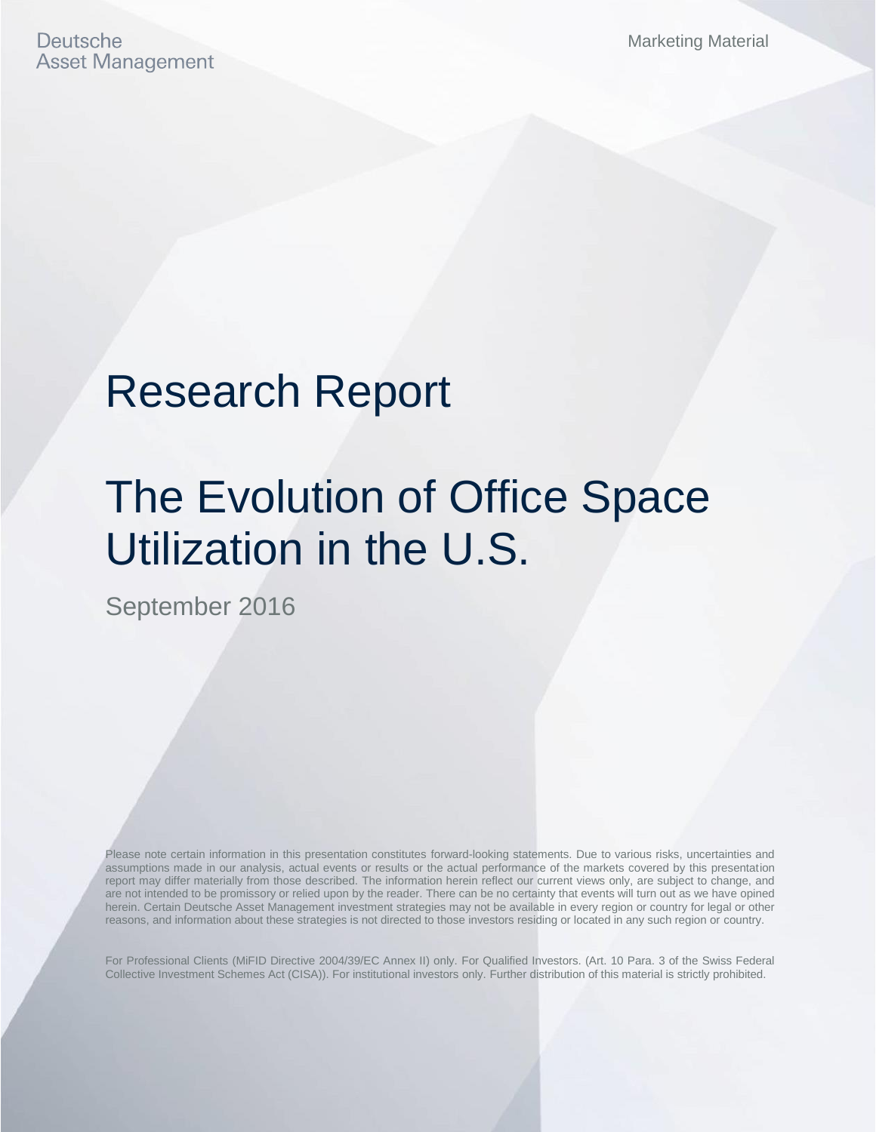**Deutsche Asset Management** 

Marketing Material

# Research Report

# The Evolution of Office Space Utilization in the U.S.

September 2016

Please note certain information in this presentation constitutes forward-looking statements. Due to various risks, uncertainties and assumptions made in our analysis, actual events or results or the actual performance of the markets covered by this presentation report may differ materially from those described. The information herein reflect our current views only, are subject to change, and are not intended to be promissory or relied upon by the reader. There can be no certainty that events will turn out as we have opined herein. Certain Deutsche Asset Management investment strategies may not be available in every region or country for legal or other reasons, and information about these strategies is not directed to those investors residing or located in any such region or country.

For Professional Clients (MiFID Directive 2004/39/EC Annex II) only. For Qualified Investors. (Art. 10 Para. 3 of the Swiss Federal Collective Investment Schemes Act (CISA)). For institutional investors only. Further distribution of this material is strictly prohibited.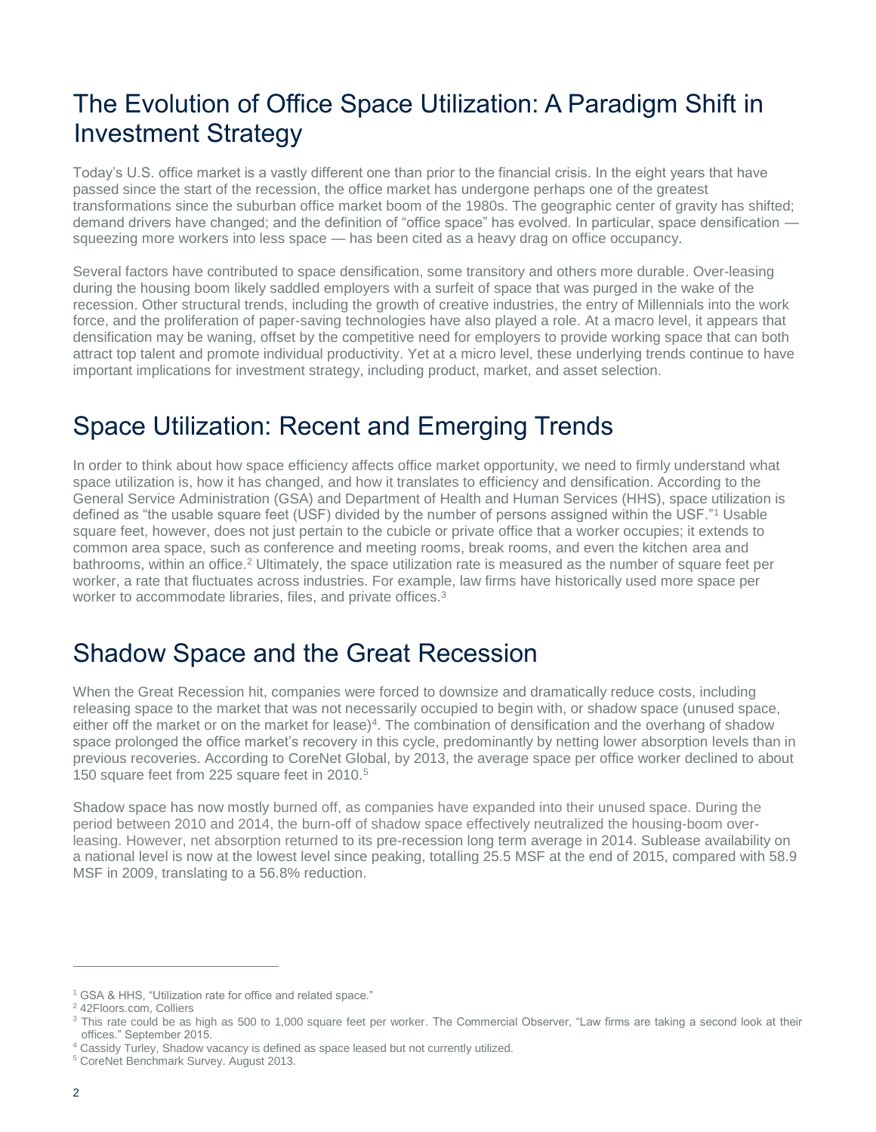# The Evolution of Office Space Utilization: A Paradigm Shift in Investment Strategy

Today's U.S. office market is a vastly different one than prior to the financial crisis. In the eight years that have passed since the start of the recession, the office market has undergone perhaps one of the greatest transformations since the suburban office market boom of the 1980s. The geographic center of gravity has shifted; demand drivers have changed; and the definition of "office space" has evolved. In particular, space densification squeezing more workers into less space — has been cited as a heavy drag on office occupancy.

Several factors have contributed to space densification, some transitory and others more durable. Over-leasing during the housing boom likely saddled employers with a surfeit of space that was purged in the wake of the recession. Other structural trends, including the growth of creative industries, the entry of Millennials into the work force, and the proliferation of paper-saving technologies have also played a role. At a macro level, it appears that densification may be waning, offset by the competitive need for employers to provide working space that can both attract top talent and promote individual productivity. Yet at a micro level, these underlying trends continue to have important implications for investment strategy, including product, market, and asset selection.

# Space Utilization: Recent and Emerging Trends

In order to think about how space efficiency affects office market opportunity, we need to firmly understand what space utilization is, how it has changed, and how it translates to efficiency and densification. According to the General Service Administration (GSA) and Department of Health and Human Services (HHS), space utilization is defined as "the usable square feet (USF) divided by the number of persons assigned within the USF."<sup>1</sup> Usable square feet, however, does not just pertain to the cubicle or private office that a worker occupies; it extends to common area space, such as conference and meeting rooms, break rooms, and even the kitchen area and bathrooms, within an office.<sup>2</sup> Ultimately, the space utilization rate is measured as the number of square feet per worker, a rate that fluctuates across industries. For example, law firms have historically used more space per worker to accommodate libraries, files, and private offices.<sup>3</sup>

# Shadow Space and the Great Recession

When the Great Recession hit, companies were forced to downsize and dramatically reduce costs, including releasing space to the market that was not necessarily occupied to begin with, or shadow space (unused space, either off the market or on the market for lease)<sup>4</sup>. The combination of densification and the overhang of shadow space prolonged the office market's recovery in this cycle, predominantly by netting lower absorption levels than in previous recoveries. According to CoreNet Global, by 2013, the average space per office worker declined to about 150 square feet from 225 square feet in 2010.<sup>5</sup>

Shadow space has now mostly burned off, as companies have expanded into their unused space. During the period between 2010 and 2014, the burn-off of shadow space effectively neutralized the housing-boom overleasing. However, net absorption returned to its pre-recession long term average in 2014. Sublease availability on a national level is now at the lowest level since peaking, totalling 25.5 MSF at the end of 2015, compared with 58.9 MSF in 2009, translating to a 56.8% reduction.

<sup>&</sup>lt;sup>1</sup> GSA & HHS, "Utilization rate for office and related space."

<sup>2</sup> 42Floors.com, Colliers

<sup>&</sup>lt;sup>3</sup> This rate could be as high as 500 to 1,000 square feet per worker. The Commercial Observer, "Law firms are taking a second look at their offices." September 2015.

<sup>4</sup> Cassidy Turley, Shadow vacancy is defined as space leased but not currently utilized.

<sup>5</sup> CoreNet Benchmark Survey. August 2013.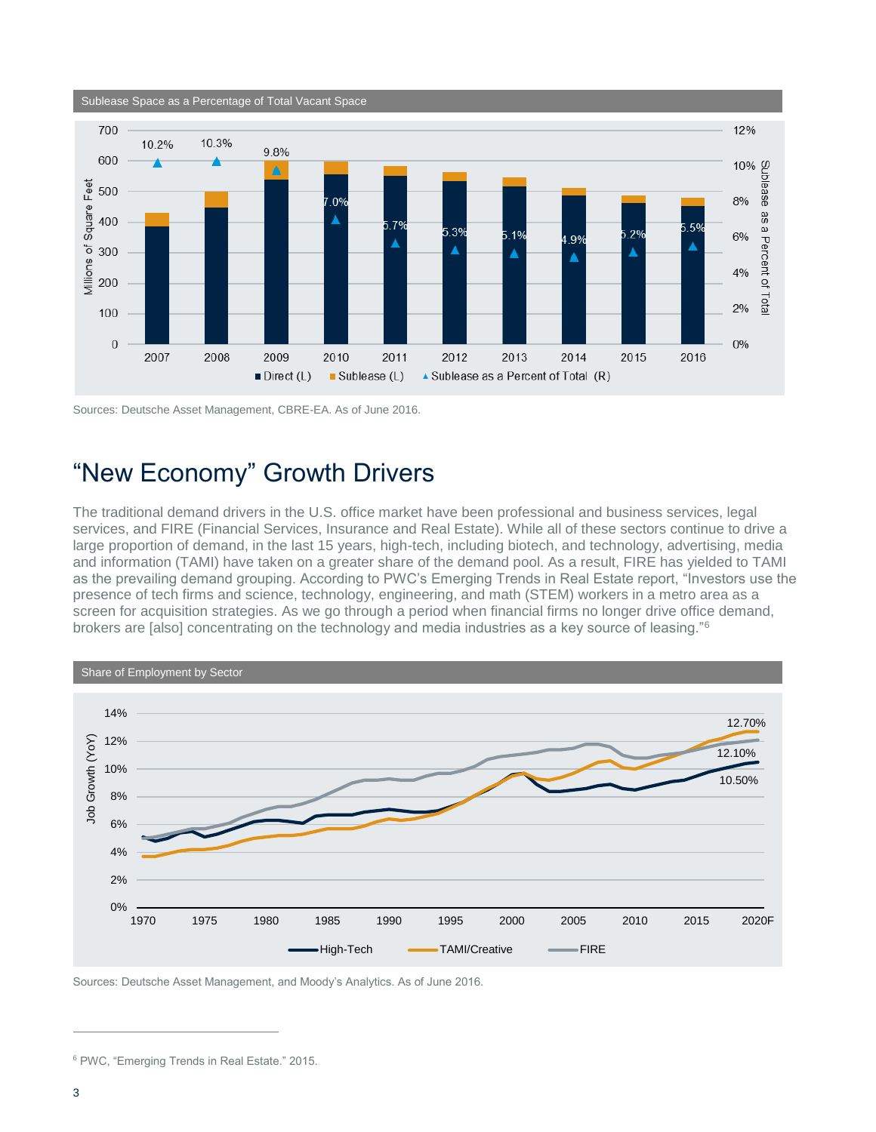

Sources: Deutsche Asset Management, CBRE-EA. As of June 2016.

# "New Economy" Growth Drivers

The traditional demand drivers in the U.S. office market have been professional and business services, legal services, and FIRE (Financial Services, Insurance and Real Estate). While all of these sectors continue to drive a large proportion of demand, in the last 15 years, high-tech, including biotech, and technology, advertising, media and information (TAMI) have taken on a greater share of the demand pool. As a result, FIRE has yielded to TAMI as the prevailing demand grouping. According to PWC's Emerging Trends in Real Estate report, "Investors use the presence of tech firms and science, technology, engineering, and math (STEM) workers in a metro area as a screen for acquisition strategies. As we go through a period when financial firms no longer drive office demand, brokers are [also] concentrating on the technology and media industries as a key source of leasing."<sup>6</sup>



Sources: Deutsche Asset Management, and Moody's Analytics. As of June 2016.

<sup>6</sup> PWC, "Emerging Trends in Real Estate." 2015.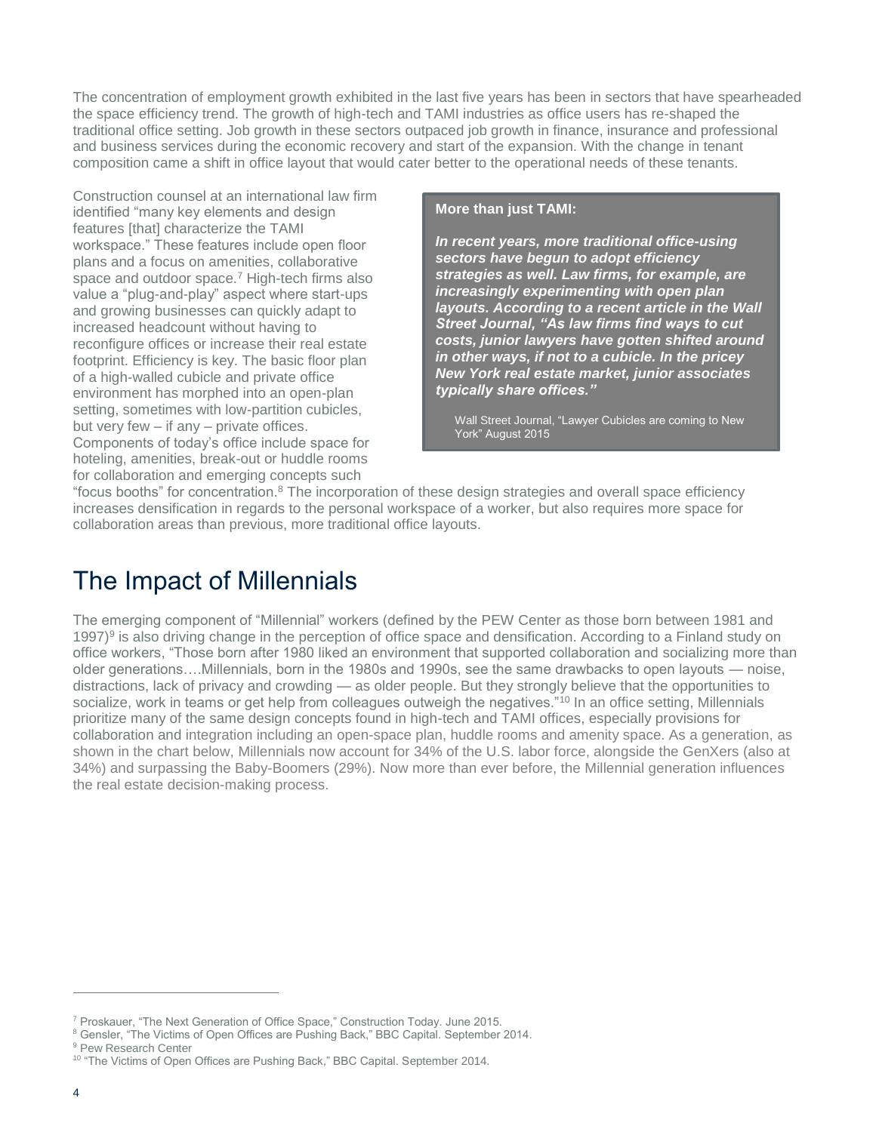The concentration of employment growth exhibited in the last five years has been in sectors that have spearheaded the space efficiency trend. The growth of high-tech and TAMI industries as office users has re-shaped the traditional office setting. Job growth in these sectors outpaced job growth in finance, insurance and professional and business services during the economic recovery and start of the expansion. With the change in tenant composition came a shift in office layout that would cater better to the operational needs of these tenants.

Construction counsel at an international law firm identified "many key elements and design features [that] characterize the TAMI workspace." These features include open floor plans and a focus on amenities, collaborative space and outdoor space.<sup>7</sup> High-tech firms also value a "plug-and-play" aspect where start-ups and growing businesses can quickly adapt to increased headcount without having to reconfigure offices or increase their real estate footprint. Efficiency is key. The basic floor plan of a high-walled cubicle and private office environment has morphed into an open-plan setting, sometimes with low-partition cubicles, but very few – if any – private offices.

Components of today's office include space for hoteling, amenities, break-out or huddle rooms for collaboration and emerging concepts such

#### **More than just TAMI:**

*In recent years, more traditional office-using sectors have begun to adopt efficiency strategies as well. Law firms, for example, are increasingly experimenting with open plan layouts. According to a recent article in the Wall Street Journal, "As law firms find ways to cut costs, junior lawyers have gotten shifted around in other ways, if not to a cubicle. In the pricey New York real estate market, junior associates typically share offices."*

Wall Street Journal, "Lawyer Cubicles are coming to New York" August 2015

for conaboration and emerging concepts such<br>"focus booths" for concentration.<sup>8</sup> The incorporation of these design strategies and overall space efficiency increases densification in regards to the personal workspace of a worker, but also requires more space for collaboration areas than previous, more traditional office layouts.

## The Impact of Millennials

The emerging component of "Millennial" workers (defined by the PEW Center as those born between 1981 and 1997)<sup>9</sup> is also driving change in the perception of office space and densification. According to a Finland study on office workers, "Those born after 1980 liked an environment that supported collaboration and socializing more than older generations….Millennials, born in the 1980s and 1990s, see the same drawbacks to open layouts — noise, distractions, lack of privacy and crowding — as older people. But they strongly believe that the opportunities to socialize, work in teams or get help from colleagues outweigh the negatives."<sup>10</sup> In an office setting, Millennials prioritize many of the same design concepts found in high-tech and TAMI offices, especially provisions for collaboration and integration including an open-space plan, huddle rooms and amenity space. As a generation, as shown in the chart below, Millennials now account for 34% of the U.S. labor force, alongside the GenXers (also at 34%) and surpassing the Baby-Boomers (29%). Now more than ever before, the Millennial generation influences the real estate decision-making process.

<sup>&</sup>lt;sup>7</sup> Proskauer, "The Next Generation of Office Space," Construction Today. June 2015.

<sup>&</sup>lt;sup>8</sup> Gensler, "The Victims of Open Offices are Pushing Back," BBC Capital. September 2014.

<sup>&</sup>lt;sup>9</sup> Pew Research Center

<sup>&</sup>lt;sup>10</sup> "The Victims of Open Offices are Pushing Back," BBC Capital. September 2014.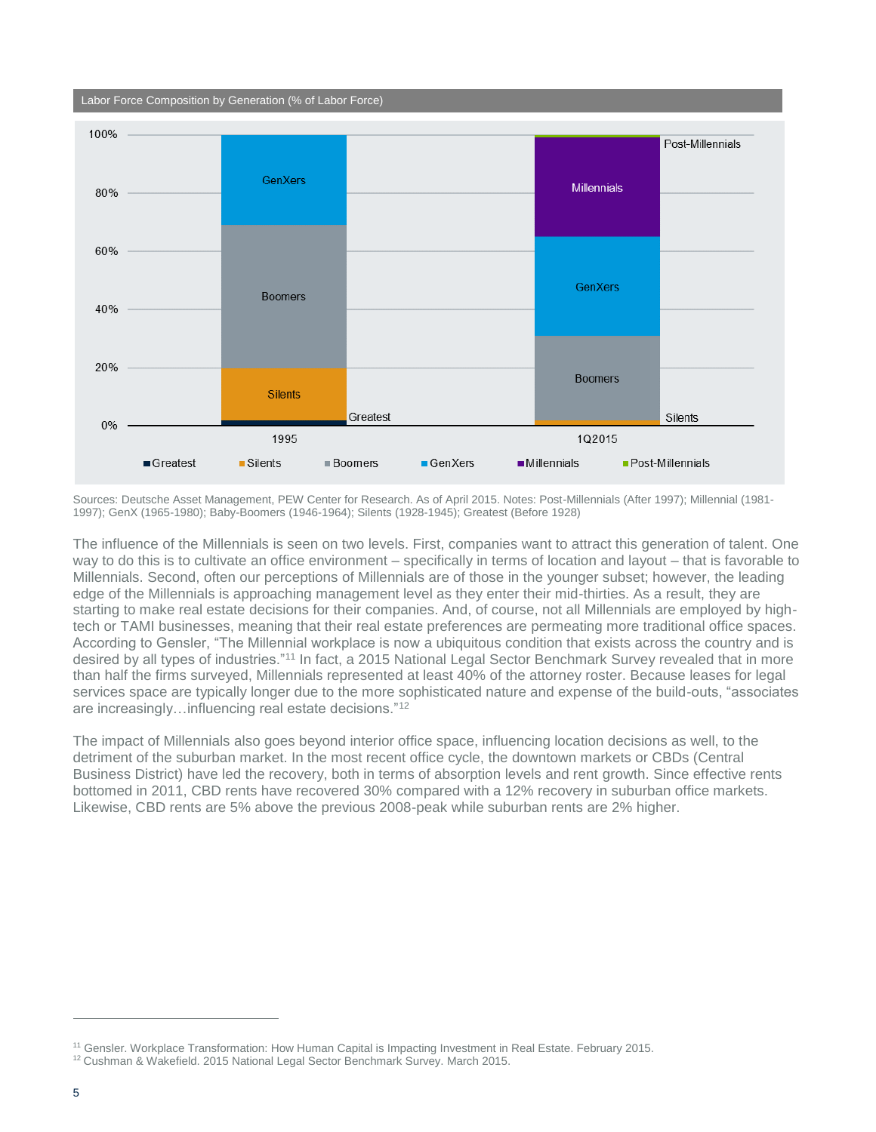

Sources: Deutsche Asset Management, PEW Center for Research. As of April 2015. Notes: Post-Millennials (After 1997); Millennial (1981- 1997); GenX (1965-1980); Baby-Boomers (1946-1964); Silents (1928-1945); Greatest (Before 1928)

The influence of the Millennials is seen on two levels. First, companies want to attract this generation of talent. One way to do this is to cultivate an office environment – specifically in terms of location and layout – that is favorable to Millennials. Second, often our perceptions of Millennials are of those in the younger subset; however, the leading edge of the Millennials is approaching management level as they enter their mid-thirties. As a result, they are starting to make real estate decisions for their companies. And, of course, not all Millennials are employed by hightech or TAMI businesses, meaning that their real estate preferences are permeating more traditional office spaces. According to Gensler, "The Millennial workplace is now a ubiquitous condition that exists across the country and is desired by all types of industries."<sup>11</sup> In fact, a 2015 National Legal Sector Benchmark Survey revealed that in more than half the firms surveyed, Millennials represented at least 40% of the attorney roster. Because leases for legal services space are typically longer due to the more sophisticated nature and expense of the build-outs, "associates are increasingly…influencing real estate decisions."<sup>12</sup>

The impact of Millennials also goes beyond interior office space, influencing location decisions as well, to the detriment of the suburban market. In the most recent office cycle, the downtown markets or CBDs (Central Business District) have led the recovery, both in terms of absorption levels and rent growth. Since effective rents bottomed in 2011, CBD rents have recovered 30% compared with a 12% recovery in suburban office markets. Likewise, CBD rents are 5% above the previous 2008-peak while suburban rents are 2% higher.

<sup>&</sup>lt;sup>11</sup> Gensler. Workplace Transformation: How Human Capital is Impacting Investment in Real Estate. February 2015.

<sup>12</sup> Cushman & Wakefield. 2015 National Legal Sector Benchmark Survey. March 2015.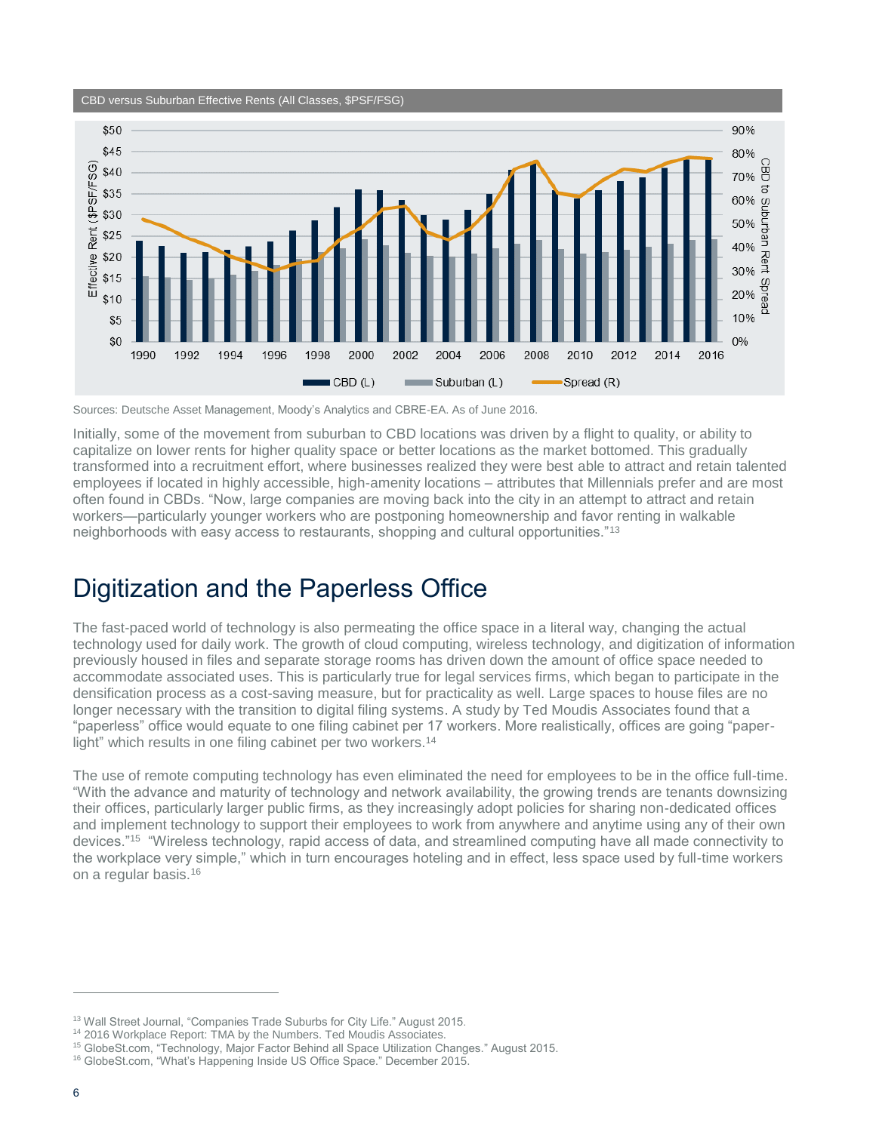CBD versus Suburban Effective Rents (All Classes, \$PSF/FSG)



Sources: Deutsche Asset Management, Moody's Analytics and CBRE-EA. As of June 2016.

Initially, some of the movement from suburban to CBD locations was driven by a flight to quality, or ability to capitalize on lower rents for higher quality space or better locations as the market bottomed. This gradually transformed into a recruitment effort, where businesses realized they were best able to attract and retain talented employees if located in highly accessible, high-amenity locations – attributes that Millennials prefer and are most often found in CBDs. "Now, large companies are moving back into the city in an attempt to attract and retain workers—particularly younger workers who are postponing homeownership and favor renting in walkable neighborhoods with easy access to restaurants, shopping and cultural opportunities."<sup>13</sup>

## Digitization and the Paperless Office

The fast-paced world of technology is also permeating the office space in a literal way, changing the actual technology used for daily work. The growth of cloud computing, wireless technology, and digitization of information previously housed in files and separate storage rooms has driven down the amount of office space needed to accommodate associated uses. This is particularly true for legal services firms, which began to participate in the densification process as a cost-saving measure, but for practicality as well. Large spaces to house files are no longer necessary with the transition to digital filing systems. A study by Ted Moudis Associates found that a "paperless" office would equate to one filing cabinet per 17 workers. More realistically, offices are going "paperlight" which results in one filing cabinet per two workers.<sup>14</sup>

The use of remote computing technology has even eliminated the need for employees to be in the office full-time. "With the advance and maturity of technology and network availability, the growing trends are tenants downsizing their offices, particularly larger public firms, as they increasingly adopt policies for sharing non-dedicated offices and implement technology to support their employees to work from anywhere and anytime using any of their own devices."<sup>15</sup> "Wireless technology, rapid access of data, and streamlined computing have all made connectivity to the workplace very simple," which in turn encourages hoteling and in effect, less space used by full-time workers on a regular basis.<sup>16</sup>

<sup>&</sup>lt;sup>13</sup> Wall Street Journal, "Companies Trade Suburbs for City Life." August 2015.

<sup>&</sup>lt;sup>14</sup> 2016 Workplace Report: TMA by the Numbers. Ted Moudis Associates.

<sup>&</sup>lt;sup>15</sup> GlobeSt.com, "Technology, Major Factor Behind all Space Utilization Changes." August 2015.

<sup>&</sup>lt;sup>16</sup> GlobeSt.com, "What's Happening Inside US Office Space." December 2015.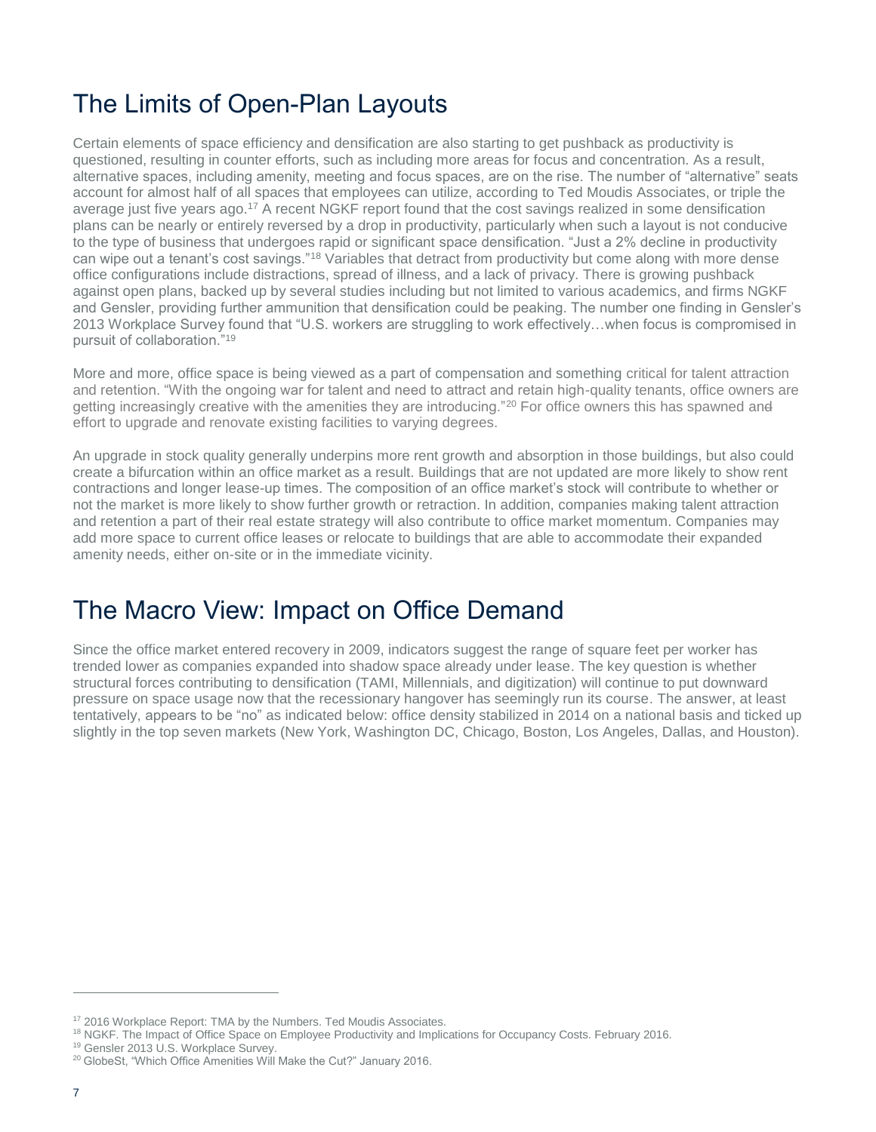# The Limits of Open-Plan Layouts

Certain elements of space efficiency and densification are also starting to get pushback as productivity is questioned, resulting in counter efforts, such as including more areas for focus and concentration. As a result, alternative spaces, including amenity, meeting and focus spaces, are on the rise. The number of "alternative" seats account for almost half of all spaces that employees can utilize, according to Ted Moudis Associates, or triple the average just five years ago.<sup>17</sup> A recent NGKF report found that the cost savings realized in some densification plans can be nearly or entirely reversed by a drop in productivity, particularly when such a layout is not conducive to the type of business that undergoes rapid or significant space densification. "Just a 2% decline in productivity can wipe out a tenant's cost savings."<sup>18</sup> Variables that detract from productivity but come along with more dense office configurations include distractions, spread of illness, and a lack of privacy. There is growing pushback against open plans, backed up by several studies including but not limited to various academics, and firms NGKF and Gensler, providing further ammunition that densification could be peaking. The number one finding in Gensler's 2013 Workplace Survey found that "U.S. workers are struggling to work effectively…when focus is compromised in pursuit of collaboration."<sup>19</sup>

More and more, office space is being viewed as a part of compensation and something critical for talent attraction and retention. "With the ongoing war for talent and need to attract and retain high-quality tenants, office owners are getting increasingly creative with the amenities they are introducing."<sup>20</sup> For office owners this has spawned and effort to upgrade and renovate existing facilities to varying degrees.

An upgrade in stock quality generally underpins more rent growth and absorption in those buildings, but also could create a bifurcation within an office market as a result. Buildings that are not updated are more likely to show rent contractions and longer lease-up times. The composition of an office market's stock will contribute to whether or not the market is more likely to show further growth or retraction. In addition, companies making talent attraction and retention a part of their real estate strategy will also contribute to office market momentum. Companies may add more space to current office leases or relocate to buildings that are able to accommodate their expanded amenity needs, either on-site or in the immediate vicinity.

## The Macro View: Impact on Office Demand

Since the office market entered recovery in 2009, indicators suggest the range of square feet per worker has trended lower as companies expanded into shadow space already under lease. The key question is whether structural forces contributing to densification (TAMI, Millennials, and digitization) will continue to put downward pressure on space usage now that the recessionary hangover has seemingly run its course. The answer, at least tentatively, appears to be "no" as indicated below: office density stabilized in 2014 on a national basis and ticked up slightly in the top seven markets (New York, Washington DC, Chicago, Boston, Los Angeles, Dallas, and Houston).

<sup>&</sup>lt;sup>17</sup> 2016 Workplace Report: TMA by the Numbers. Ted Moudis Associates.

<sup>&</sup>lt;sup>18</sup> NGKF. The Impact of Office Space on Employee Productivity and Implications for Occupancy Costs. February 2016.

<sup>19</sup> Gensler 2013 U.S. Workplace Survey.

<sup>&</sup>lt;sup>20</sup> GlobeSt, "Which Office Amenities Will Make the Cut?" January 2016.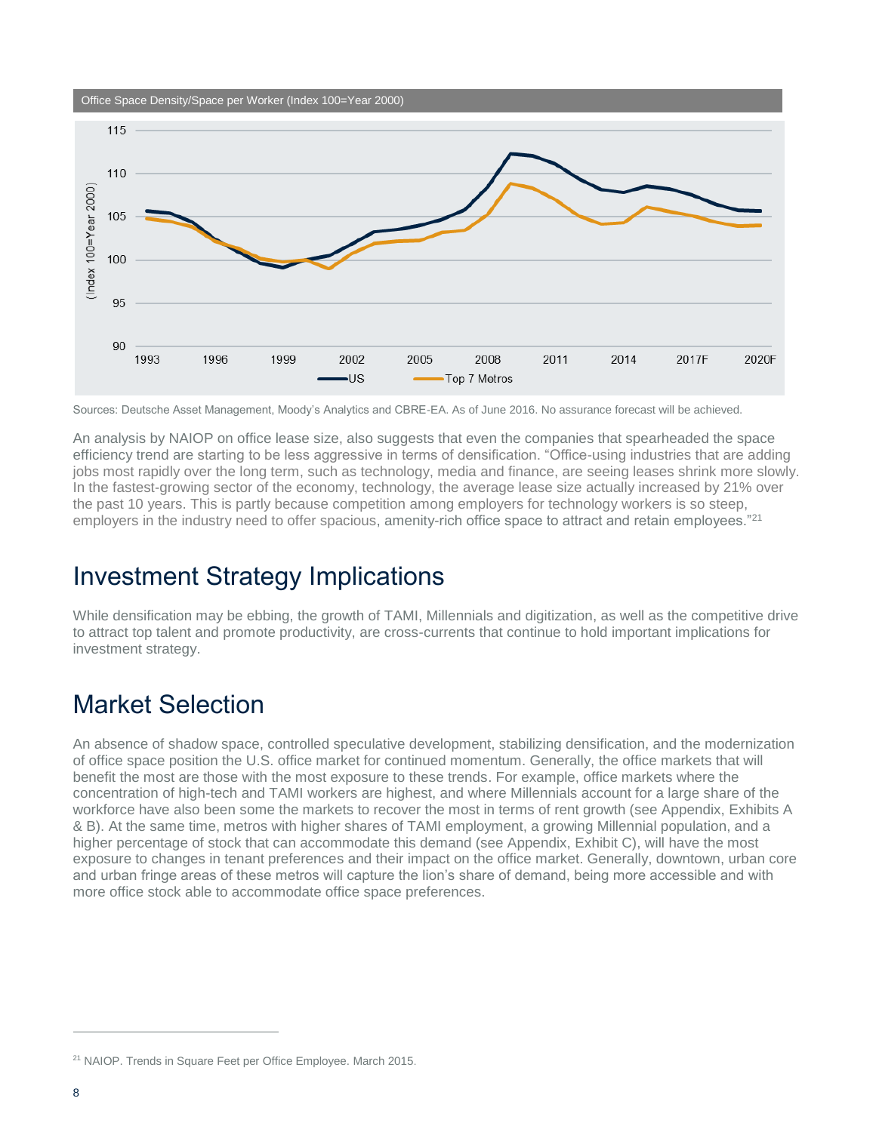Office Space Density/Space per Worker (Index 100=Year 2000)



Sources: Deutsche Asset Management, Moody's Analytics and CBRE-EA. As of June 2016. No assurance forecast will be achieved.

An analysis by NAIOP on office lease size, also suggests that even the companies that spearheaded the space efficiency trend are starting to be less aggressive in terms of densification. "Office-using industries that are adding jobs most rapidly over the long term, such as technology, media and finance, are seeing leases shrink more slowly. In the fastest-growing sector of the economy, technology, the average lease size actually increased by 21% over the past 10 years. This is partly because competition among employers for technology workers is so steep, employers in the industry need to offer spacious, amenity-rich office space to attract and retain employees."<sup>21</sup>

#### Investment Strategy Implications

While densification may be ebbing, the growth of TAMI, Millennials and digitization, as well as the competitive drive to attract top talent and promote productivity, are cross-currents that continue to hold important implications for investment strategy.

# Market Selection

An absence of shadow space, controlled speculative development, stabilizing densification, and the modernization of office space position the U.S. office market for continued momentum. Generally, the office markets that will benefit the most are those with the most exposure to these trends. For example, office markets where the concentration of high-tech and TAMI workers are highest, and where Millennials account for a large share of the workforce have also been some the markets to recover the most in terms of rent growth (see Appendix, Exhibits A & B). At the same time, metros with higher shares of TAMI employment, a growing Millennial population, and a higher percentage of stock that can accommodate this demand (see Appendix, Exhibit C), will have the most exposure to changes in tenant preferences and their impact on the office market. Generally, downtown, urban core and urban fringe areas of these metros will capture the lion's share of demand, being more accessible and with more office stock able to accommodate office space preferences.

<sup>&</sup>lt;sup>21</sup> NAIOP. Trends in Square Feet per Office Employee. March 2015.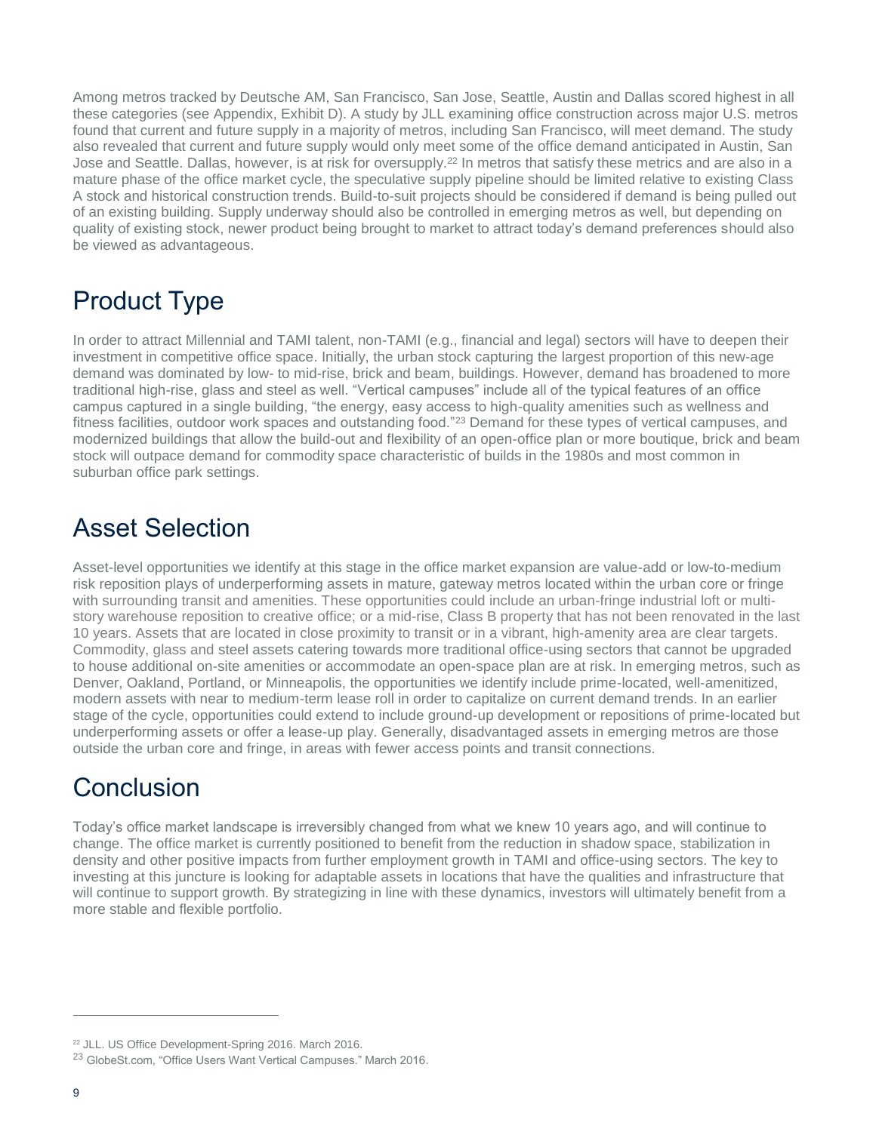Among metros tracked by Deutsche AM, San Francisco, San Jose, Seattle, Austin and Dallas scored highest in all these categories (see Appendix, Exhibit D). A study by JLL examining office construction across major U.S. metros found that current and future supply in a majority of metros, including San Francisco, will meet demand. The study also revealed that current and future supply would only meet some of the office demand anticipated in Austin, San Jose and Seattle. Dallas, however, is at risk for oversupply.<sup>22</sup> In metros that satisfy these metrics and are also in a mature phase of the office market cycle, the speculative supply pipeline should be limited relative to existing Class A stock and historical construction trends. Build-to-suit projects should be considered if demand is being pulled out of an existing building. Supply underway should also be controlled in emerging metros as well, but depending on quality of existing stock, newer product being brought to market to attract today's demand preferences should also be viewed as advantageous.

# Product Type

In order to attract Millennial and TAMI talent, non-TAMI (e.g., financial and legal) sectors will have to deepen their investment in competitive office space. Initially, the urban stock capturing the largest proportion of this new-age demand was dominated by low- to mid-rise, brick and beam, buildings. However, demand has broadened to more traditional high-rise, glass and steel as well. "Vertical campuses" include all of the typical features of an office campus captured in a single building, "the energy, easy access to high-quality amenities such as wellness and fitness facilities, outdoor work spaces and outstanding food."<sup>23</sup> Demand for these types of vertical campuses, and modernized buildings that allow the build-out and flexibility of an open-office plan or more boutique, brick and beam stock will outpace demand for commodity space characteristic of builds in the 1980s and most common in suburban office park settings.

# Asset Selection

Asset-level opportunities we identify at this stage in the office market expansion are value-add or low-to-medium risk reposition plays of underperforming assets in mature, gateway metros located within the urban core or fringe with surrounding transit and amenities. These opportunities could include an urban-fringe industrial loft or multistory warehouse reposition to creative office; or a mid-rise, Class B property that has not been renovated in the last 10 years. Assets that are located in close proximity to transit or in a vibrant, high-amenity area are clear targets. Commodity, glass and steel assets catering towards more traditional office-using sectors that cannot be upgraded to house additional on-site amenities or accommodate an open-space plan are at risk. In emerging metros, such as Denver, Oakland, Portland, or Minneapolis, the opportunities we identify include prime-located, well-amenitized, modern assets with near to medium-term lease roll in order to capitalize on current demand trends. In an earlier stage of the cycle, opportunities could extend to include ground-up development or repositions of prime-located but underperforming assets or offer a lease-up play. Generally, disadvantaged assets in emerging metros are those outside the urban core and fringe, in areas with fewer access points and transit connections.

# **Conclusion**

Today's office market landscape is irreversibly changed from what we knew 10 years ago, and will continue to change. The office market is currently positioned to benefit from the reduction in shadow space, stabilization in density and other positive impacts from further employment growth in TAMI and office-using sectors. The key to investing at this juncture is looking for adaptable assets in locations that have the qualities and infrastructure that will continue to support growth. By strategizing in line with these dynamics, investors will ultimately benefit from a more stable and flexible portfolio.

<sup>&</sup>lt;sup>22</sup> JLL. US Office Development-Spring 2016. March 2016.

<sup>23</sup> GlobeSt.com, "Office Users Want Vertical Campuses." March 2016.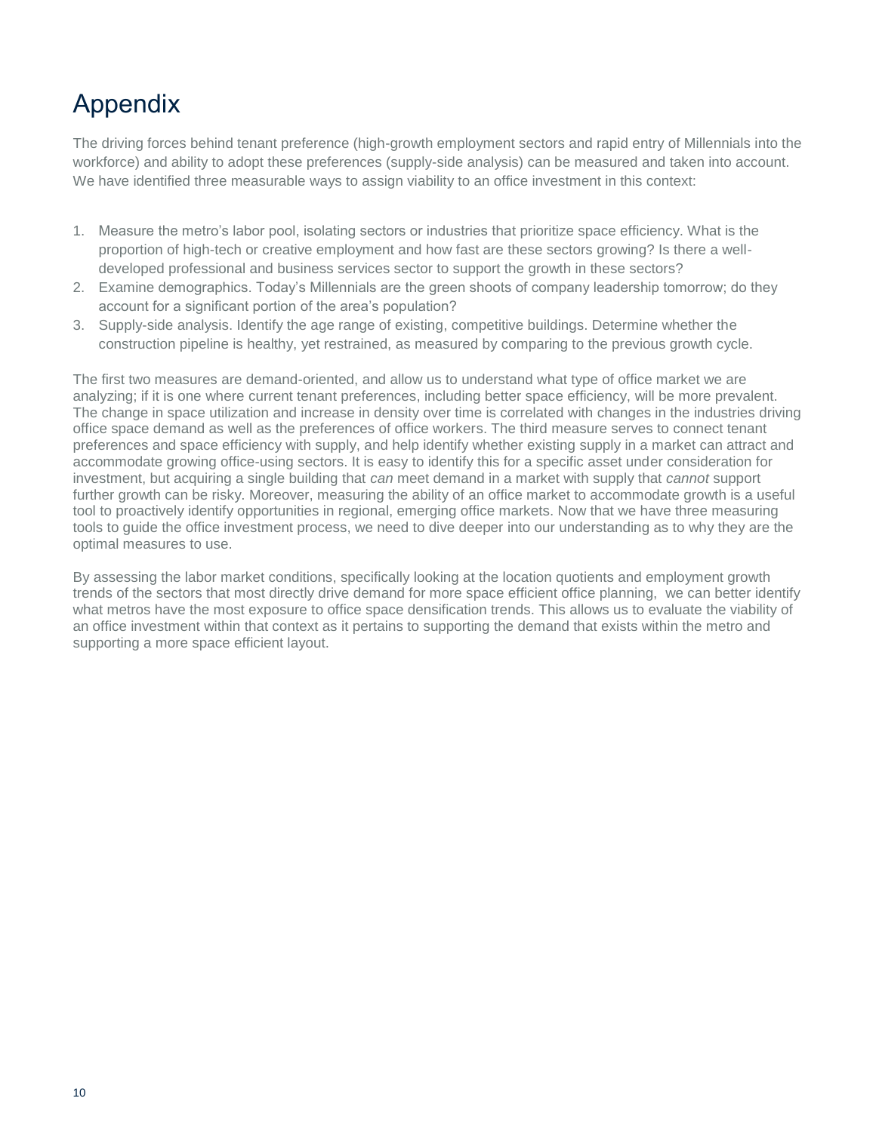# Appendix

The driving forces behind tenant preference (high-growth employment sectors and rapid entry of Millennials into the workforce) and ability to adopt these preferences (supply-side analysis) can be measured and taken into account. We have identified three measurable ways to assign viability to an office investment in this context:

- 1. Measure the metro's labor pool, isolating sectors or industries that prioritize space efficiency. What is the proportion of high-tech or creative employment and how fast are these sectors growing? Is there a welldeveloped professional and business services sector to support the growth in these sectors?
- 2. Examine demographics. Today's Millennials are the green shoots of company leadership tomorrow; do they account for a significant portion of the area's population?
- 3. Supply-side analysis. Identify the age range of existing, competitive buildings. Determine whether the construction pipeline is healthy, yet restrained, as measured by comparing to the previous growth cycle.

The first two measures are demand-oriented, and allow us to understand what type of office market we are analyzing; if it is one where current tenant preferences, including better space efficiency, will be more prevalent. The change in space utilization and increase in density over time is correlated with changes in the industries driving office space demand as well as the preferences of office workers. The third measure serves to connect tenant preferences and space efficiency with supply, and help identify whether existing supply in a market can attract and accommodate growing office-using sectors. It is easy to identify this for a specific asset under consideration for investment, but acquiring a single building that *can* meet demand in a market with supply that *cannot* support further growth can be risky. Moreover, measuring the ability of an office market to accommodate growth is a useful tool to proactively identify opportunities in regional, emerging office markets. Now that we have three measuring tools to guide the office investment process, we need to dive deeper into our understanding as to why they are the optimal measures to use.

By assessing the labor market conditions, specifically looking at the location quotients and employment growth trends of the sectors that most directly drive demand for more space efficient office planning, we can better identify what metros have the most exposure to office space densification trends. This allows us to evaluate the viability of an office investment within that context as it pertains to supporting the demand that exists within the metro and supporting a more space efficient layout.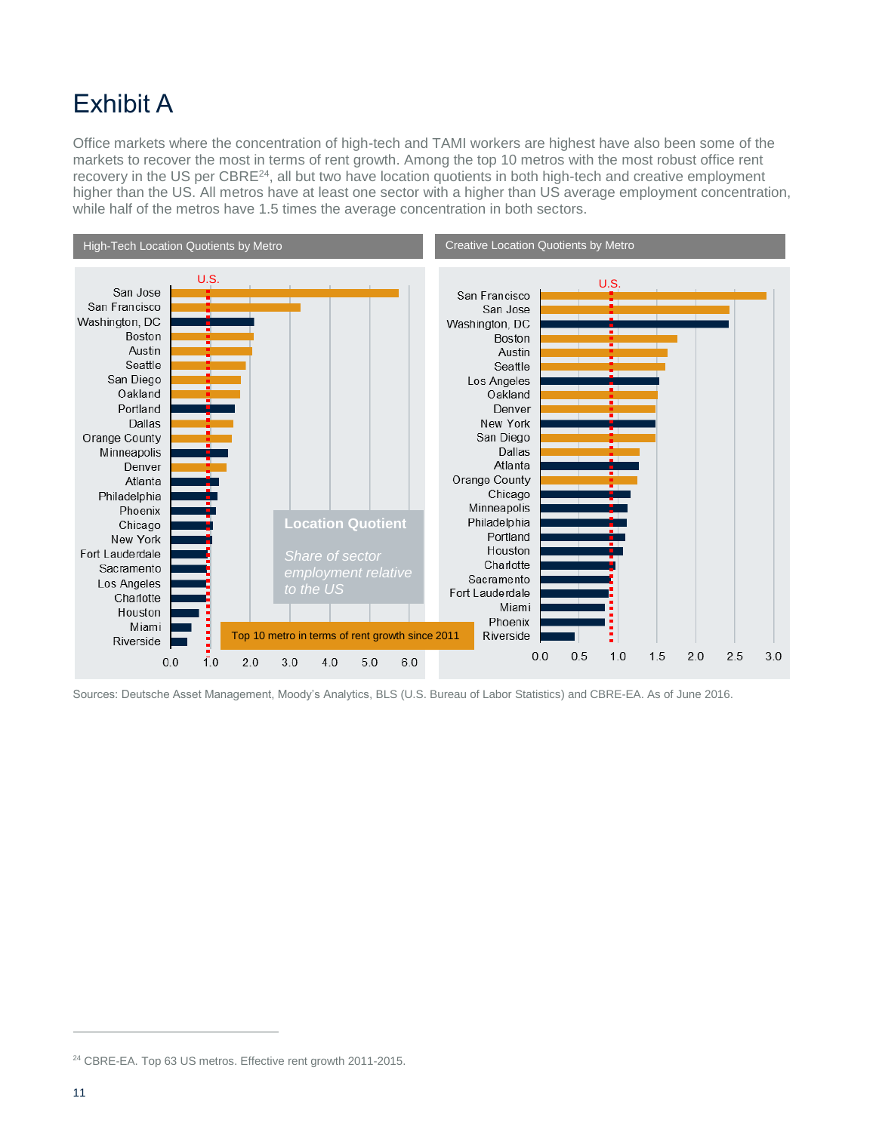# Exhibit A

Office markets where the concentration of high-tech and TAMI workers are highest have also been some of the markets to recover the most in terms of rent growth. Among the top 10 metros with the most robust office rent recovery in the US per CBRE<sup>24</sup>, all but two have location quotients in both high-tech and creative employment higher than the US. All metros have at least one sector with a higher than US average employment concentration, while half of the metros have 1.5 times the average concentration in both sectors.



Sources: Deutsche Asset Management, Moody's Analytics, BLS (U.S. Bureau of Labor Statistics) and CBRE-EA. As of June 2016.

<sup>&</sup>lt;sup>24</sup> CBRE-EA. Top 63 US metros. Effective rent growth 2011-2015.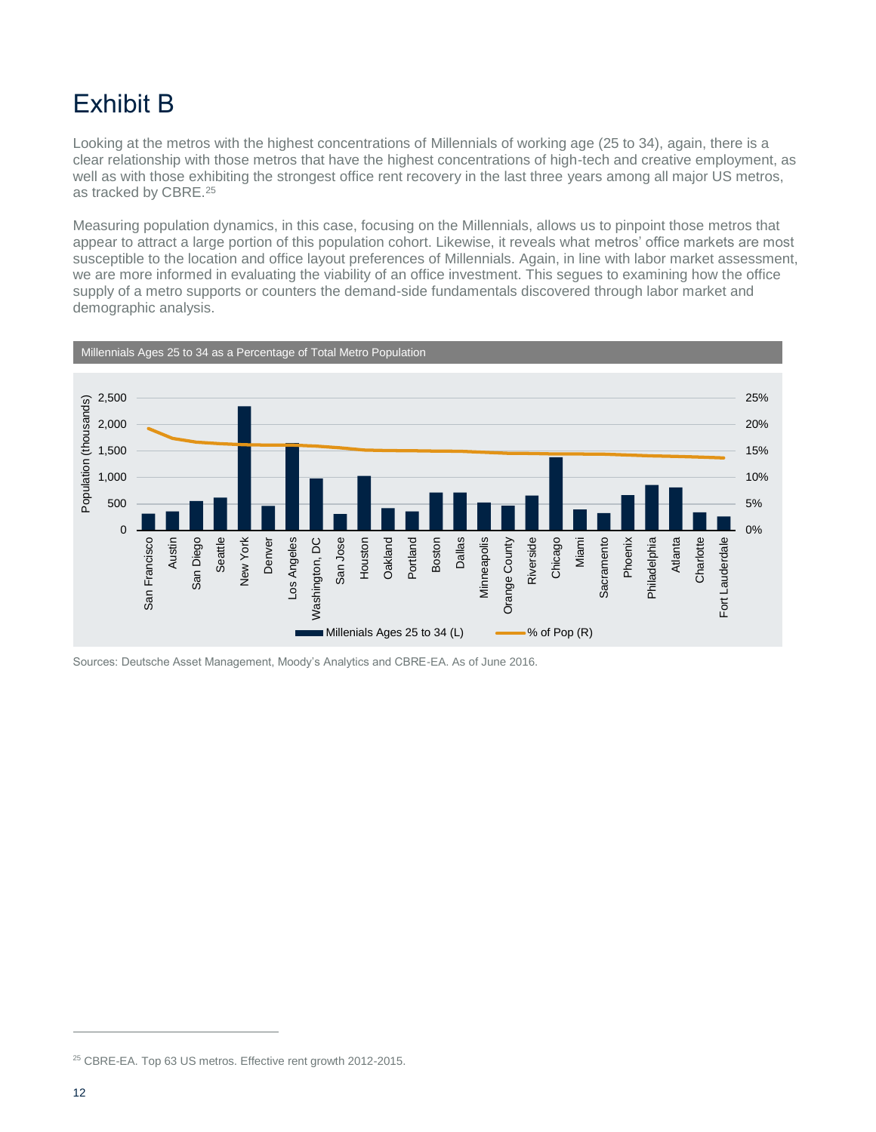# Exhibit B

Looking at the metros with the highest concentrations of Millennials of working age (25 to 34), again, there is a clear relationship with those metros that have the highest concentrations of high-tech and creative employment, as well as with those exhibiting the strongest office rent recovery in the last three years among all major US metros, as tracked by CBRE.<sup>25</sup>

Measuring population dynamics, in this case, focusing on the Millennials, allows us to pinpoint those metros that appear to attract a large portion of this population cohort. Likewise, it reveals what metros' office markets are most susceptible to the location and office layout preferences of Millennials. Again, in line with labor market assessment, we are more informed in evaluating the viability of an office investment. This segues to examining how the office supply of a metro supports or counters the demand-side fundamentals discovered through labor market and demographic analysis.



Sources: Deutsche Asset Management, Moody's Analytics and CBRE-EA. As of June 2016.

<sup>&</sup>lt;sup>25</sup> CBRE-EA. Top 63 US metros. Effective rent growth 2012-2015.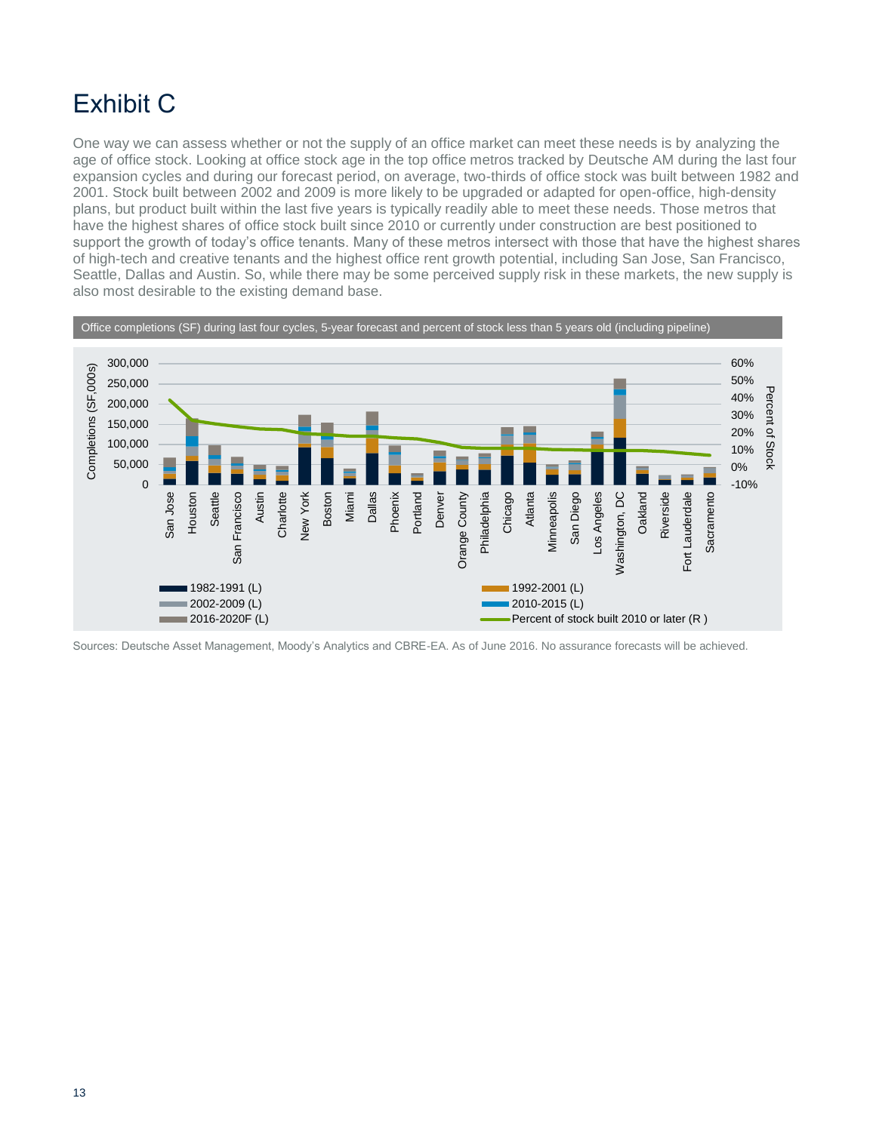# Exhibit C

One way we can assess whether or not the supply of an office market can meet these needs is by analyzing the age of office stock. Looking at office stock age in the top office metros tracked by Deutsche AM during the last four expansion cycles and during our forecast period, on average, two-thirds of office stock was built between 1982 and 2001. Stock built between 2002 and 2009 is more likely to be upgraded or adapted for open-office, high-density plans, but product built within the last five years is typically readily able to meet these needs. Those metros that have the highest shares of office stock built since 2010 or currently under construction are best positioned to support the growth of today's office tenants. Many of these metros intersect with those that have the highest shares of high-tech and creative tenants and the highest office rent growth potential, including San Jose, San Francisco, Seattle, Dallas and Austin. So, while there may be some perceived supply risk in these markets, the new supply is also most desirable to the existing demand base.



Sources: Deutsche Asset Management, Moody's Analytics and CBRE-EA. As of June 2016. No assurance forecasts will be achieved.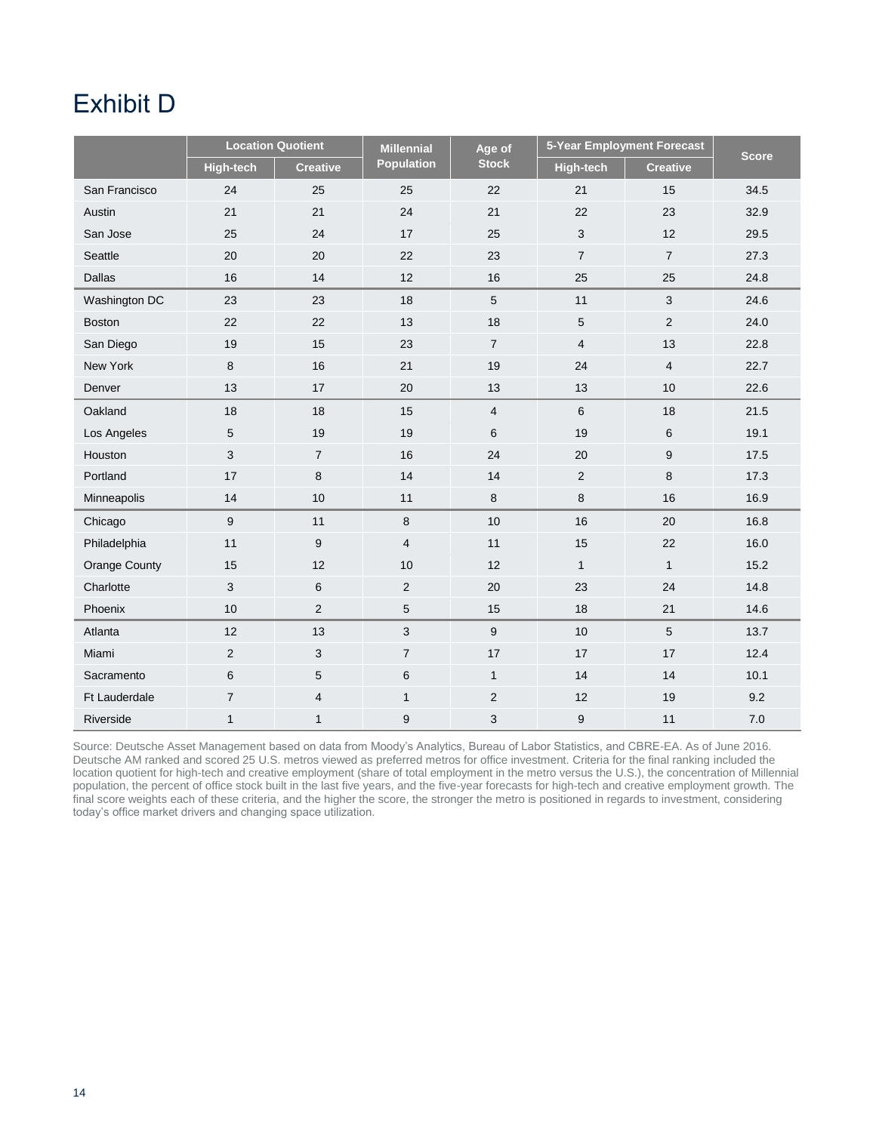# Exhibit D

|                      | <b>Location Quotient</b> |                 | <b>Millennial</b>        | Age of         | 5-Year Employment Forecast |                 |              |
|----------------------|--------------------------|-----------------|--------------------------|----------------|----------------------------|-----------------|--------------|
|                      | <b>High-tech</b>         | <b>Creative</b> | Population               | <b>Stock</b>   | <b>High-tech</b>           | <b>Creative</b> | <b>Score</b> |
| San Francisco        | 24                       | 25              | 25                       | 22             | 21                         | 15              | 34.5         |
| Austin               | 21                       | 21              | 24                       | 21             | 22                         | 23              | 32.9         |
| San Jose             | 25                       | 24              | 17                       | 25             | 3                          | 12              | 29.5         |
| Seattle              | 20                       | 20              | 22                       | 23             | $\overline{7}$             | $\overline{7}$  | 27.3         |
| Dallas               | 16                       | 14              | 12                       | 16             | 25                         | 25              | 24.8         |
| Washington DC        | 23                       | 23              | 18                       | 5              | 11                         | $\mathbf{3}$    | 24.6         |
| Boston               | 22                       | 22              | 13                       | 18             | $\mathbf 5$                | $\overline{2}$  | 24.0         |
| San Diego            | 19                       | 15              | 23                       | $\overline{7}$ | $\overline{4}$             | 13              | 22.8         |
| New York             | 8                        | 16              | 21                       | 19             | 24                         | $\overline{4}$  | 22.7         |
| Denver               | 13                       | 17              | 20                       | 13             | 13                         | 10              | 22.6         |
| Oakland              | 18                       | 18              | 15                       | $\overline{4}$ | 6                          | 18              | 21.5         |
| Los Angeles          | 5                        | 19              | 19                       | 6              | 19                         | 6               | 19.1         |
| Houston              | 3                        | $\overline{7}$  | 16                       | 24             | 20                         | 9               | 17.5         |
| Portland             | 17                       | 8               | 14                       | 14             | $\overline{2}$             | 8               | 17.3         |
| Minneapolis          | 14                       | 10              | 11                       | 8              | 8                          | 16              | 16.9         |
| Chicago              | $\boldsymbol{9}$         | 11              | $\bf 8$                  | 10             | 16                         | 20              | 16.8         |
| Philadelphia         | 11                       | 9               | $\overline{\mathcal{A}}$ | 11             | 15                         | 22              | 16.0         |
| <b>Orange County</b> | 15                       | 12              | 10                       | 12             | $\mathbf{1}$               | $\mathbf{1}$    | 15.2         |
| Charlotte            | $\mathfrak{Z}$           | $\,6$           | $\overline{2}$           | 20             | 23                         | 24              | 14.8         |
| Phoenix              | 10                       | $\overline{2}$  | 5                        | 15             | 18                         | 21              | 14.6         |
| Atlanta              | 12                       | 13              | 3                        | 9              | 10                         | $\overline{5}$  | 13.7         |
| Miami                | $\sqrt{2}$               | 3               | $\overline{7}$           | 17             | 17                         | 17              | 12.4         |
| Sacramento           | $\,6\,$                  | 5               | 6                        | $\mathbf{1}$   | 14                         | 14              | 10.1         |
| Ft Lauderdale        | $\overline{7}$           | 4               | $\mathbf{1}$             | 2              | 12                         | 19              | 9.2          |
| Riverside            | $\mathbf{1}$             | $\mathbf{1}$    | 9                        | 3              | 9                          | 11              | 7.0          |

Source: Deutsche Asset Management based on data from Moody's Analytics, Bureau of Labor Statistics, and CBRE-EA. As of June 2016. Deutsche AM ranked and scored 25 U.S. metros viewed as preferred metros for office investment. Criteria for the final ranking included the location quotient for high-tech and creative employment (share of total employment in the metro versus the U.S.), the concentration of Millennial population, the percent of office stock built in the last five years, and the five-year forecasts for high-tech and creative employment growth. The final score weights each of these criteria, and the higher the score, the stronger the metro is positioned in regards to investment, considering today's office market drivers and changing space utilization.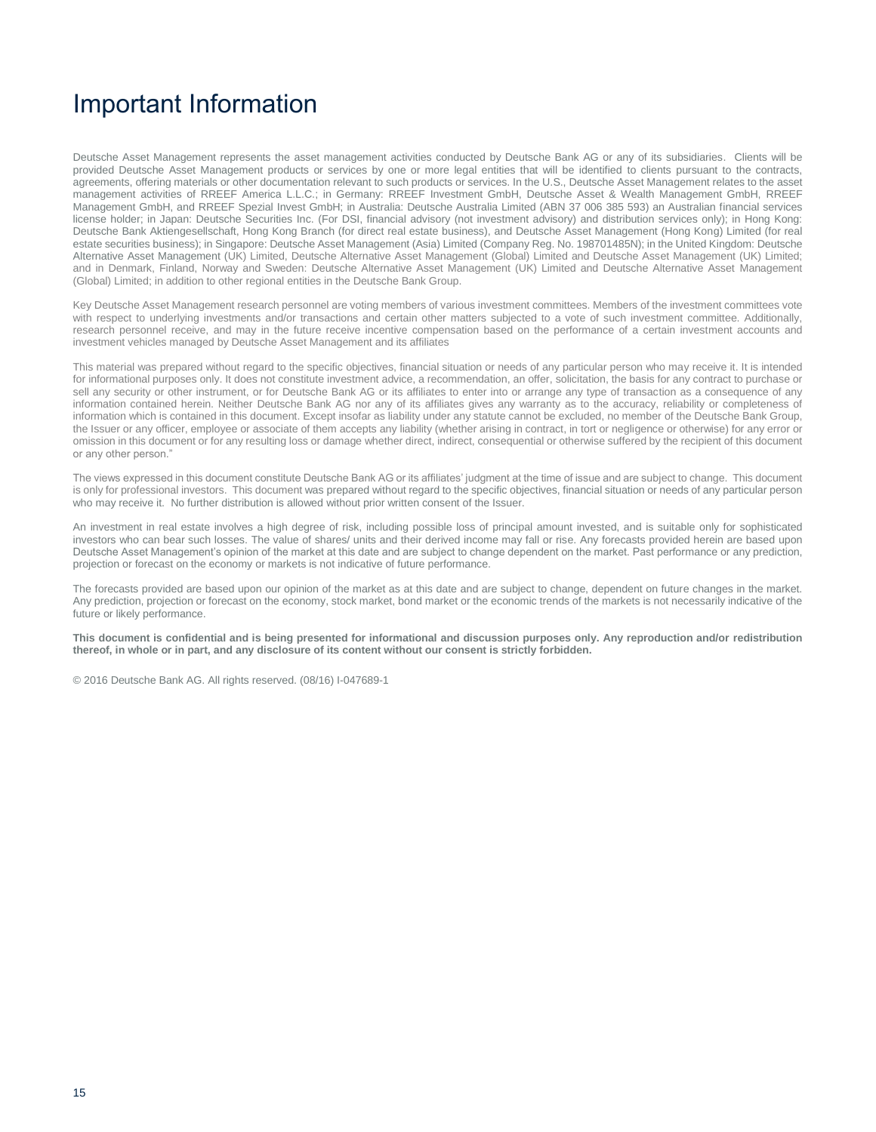## Important Information

Deutsche Asset Management represents the asset management activities conducted by Deutsche Bank AG or any of its subsidiaries. Clients will be provided Deutsche Asset Management products or services by one or more legal entities that will be identified to clients pursuant to the contracts, agreements, offering materials or other documentation relevant to such products or services. In the U.S., Deutsche Asset Management relates to the asset management activities of RREEF America L.L.C.; in Germany: RREEF Investment GmbH, Deutsche Asset & Wealth Management GmbH, RREEF Management GmbH, and RREEF Spezial Invest GmbH; in Australia: Deutsche Australia Limited (ABN 37 006 385 593) an Australian financial services license holder; in Japan: Deutsche Securities Inc. (For DSI, financial advisory (not investment advisory) and distribution services only); in Hong Kong: Deutsche Bank Aktiengesellschaft, Hong Kong Branch (for direct real estate business), and Deutsche Asset Management (Hong Kong) Limited (for real estate securities business); in Singapore: Deutsche Asset Management (Asia) Limited (Company Reg. No. 198701485N); in the United Kingdom: Deutsche Alternative Asset Management (UK) Limited, Deutsche Alternative Asset Management (Global) Limited and Deutsche Asset Management (UK) Limited; and in Denmark, Finland, Norway and Sweden: Deutsche Alternative Asset Management (UK) Limited and Deutsche Alternative Asset Management (Global) Limited; in addition to other regional entities in the Deutsche Bank Group.

Key Deutsche Asset Management research personnel are voting members of various investment committees. Members of the investment committees vote with respect to underlying investments and/or transactions and certain other matters subjected to a vote of such investment committee. Additionally, research personnel receive, and may in the future receive incentive compensation based on the performance of a certain investment accounts and investment vehicles managed by Deutsche Asset Management and its affiliates

This material was prepared without regard to the specific objectives, financial situation or needs of any particular person who may receive it. It is intended for informational purposes only. It does not constitute investment advice, a recommendation, an offer, solicitation, the basis for any contract to purchase or sell any security or other instrument, or for Deutsche Bank AG or its affiliates to enter into or arrange any type of transaction as a consequence of any information contained herein. Neither Deutsche Bank AG nor any of its affiliates gives any warranty as to the accuracy, reliability or completeness of information which is contained in this document. Except insofar as liability under any statute cannot be excluded, no member of the Deutsche Bank Group, the Issuer or any officer, employee or associate of them accepts any liability (whether arising in contract, in tort or negligence or otherwise) for any error or omission in this document or for any resulting loss or damage whether direct, indirect, consequential or otherwise suffered by the recipient of this document or any other person."

The views expressed in this document constitute Deutsche Bank AG or its affiliates' judgment at the time of issue and are subject to change. This document is only for professional investors. This document was prepared without regard to the specific objectives, financial situation or needs of any particular person who may receive it. No further distribution is allowed without prior written consent of the Issuer.

An investment in real estate involves a high degree of risk, including possible loss of principal amount invested, and is suitable only for sophisticated investors who can bear such losses. The value of shares/ units and their derived income may fall or rise. Any forecasts provided herein are based upon Deutsche Asset Management's opinion of the market at this date and are subject to change dependent on the market. Past performance or any prediction, projection or forecast on the economy or markets is not indicative of future performance.

The forecasts provided are based upon our opinion of the market as at this date and are subject to change, dependent on future changes in the market. Any prediction, projection or forecast on the economy, stock market, bond market or the economic trends of the markets is not necessarily indicative of the future or likely performance.

**This document is confidential and is being presented for informational and discussion purposes only. Any reproduction and/or redistribution thereof, in whole or in part, and any disclosure of its content without our consent is strictly forbidden.**

© 2016 Deutsche Bank AG. All rights reserved. (08/16) I-047689-1